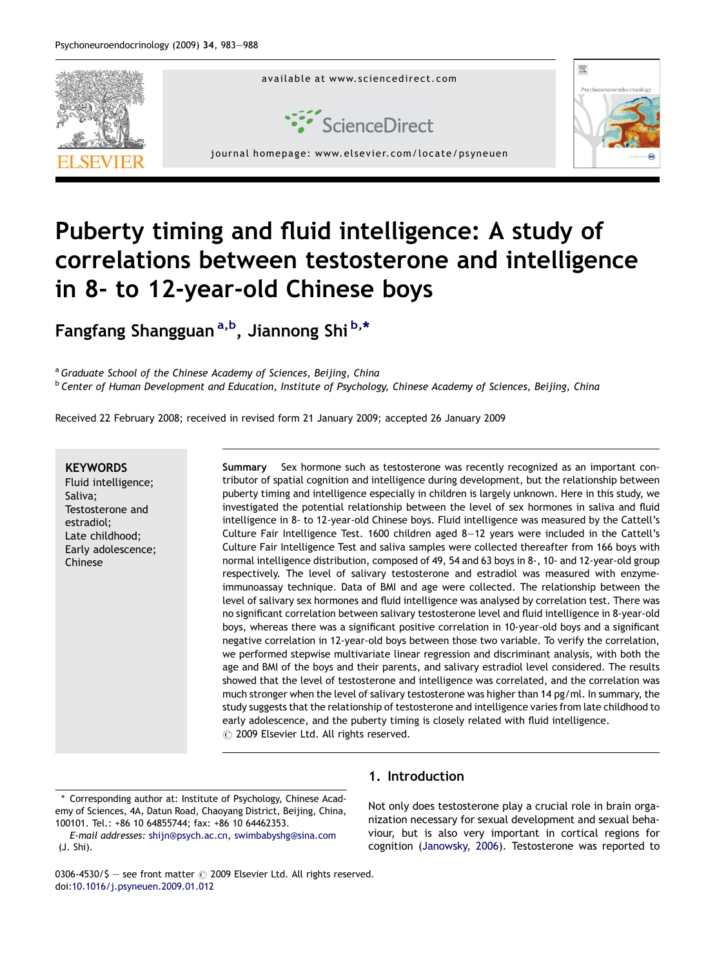

# Puberty timing and fluid intelligence: A study of correlations between testosterone and intelligence in 8- to 12-year-old Chinese boys

Fangfang Shangguan <sup>a, b</sup>, Jiannong Shi b, \*

<sup>a</sup> Graduate School of the Chinese Academy of Sciences, Beijing, China <sup>b</sup> Center of Human Development and Education, Institute of Psychology, Chinese Academy of Sciences, Beijing, China

Received 22 February 2008; received in revised form 21 January 2009; accepted 26 January 2009

#### **KEYWORDS**

Fluid intelligence; Saliva; Testosterone and estradiol; Late childhood; Early adolescence; Chinese

Summary Sex hormone such as testosterone was recently recognized as an important contributor of spatial cognition and intelligence during development, but the relationship between puberty timing and intelligence especially in children is largely unknown. Here in this study, we investigated the potential relationship between the level of sex hormones in saliva and fluid intelligence in 8- to 12-year-old Chinese boys. Fluid intelligence was measured by the Cattell's Culture Fair Intelligence Test. 1600 children aged 8—12 years were included in the Cattell's Culture Fair Intelligence Test and saliva samples were collected thereafter from 166 boys with normal intelligence distribution, composed of 49, 54 and 63 boys in 8-, 10- and 12-year-old group respectively. The level of salivary testosterone and estradiol was measured with enzymeimmunoassay technique. Data of BMI and age were collected. The relationship between the level of salivary sex hormones and fluid intelligence was analysed by correlation test. There was no significant correlation between salivary testosterone level and fluid intelligence in 8-year-old boys, whereas there was a significant positive correlation in 10-year-old boys and a significant negative correlation in 12-year-old boys between those two variable. To verify the correlation, we performed stepwise multivariate linear regression and discriminant analysis, with both the age and BMI of the boys and their parents, and salivary estradiol level considered. The results showed that the level of testosterone and intelligence was correlated, and the correlation was much stronger when the level of salivary testosterone was higher than 14 pg/ml. In summary, the study suggests that the relationship of testosterone and intelligence varies from late childhood to early adolescence, and the puberty timing is closely related with fluid intelligence.  $\odot$  2009 Elsevier Ltd. All rights reserved.

\* Corresponding author at: Institute of Psychology, Chinese Academy of Sciences, 4A, Datun Road, Chaoyang District, Beijing, China, 100101. Tel.: +86 10 64855744; fax: +86 10 64462353.

E-mail addresses: [shijn@psych.ac.cn,](mailto:shijn@psych.ac.cn) [swimbabyshg@sina.com](mailto:swimbabyshg@sina.com) (J. Shi).

### 1. Introduction

Not only does testosterone play a crucial role in brain organization necessary for sexual development and sexual behaviour, but is also very important in cortical regions for cognition ([Janowsky, 2006](#page--1-0)). Testosterone was reported to

0306-4530/\$ - see front matter  $\odot$  2009 Elsevier Ltd. All rights reserved. doi[:10.1016/j.psyneuen.2009.01.012](http://dx.doi.org/10.1016/j.psyneuen.2009.01.012)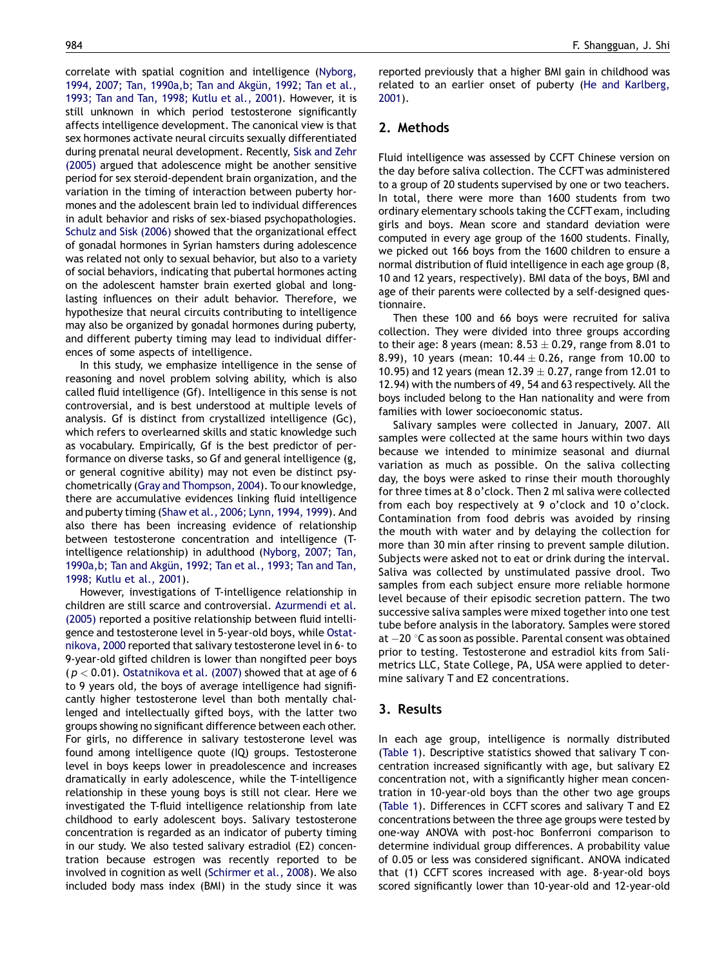correlate with spatial cognition and intelligence ([Nyborg,](#page--1-0) 1994, 2007; Tan, 1990a,b; Tan and Akgün, 1992; Tan et al., [1993; Tan and Tan, 1998; Kutlu et al., 2001](#page--1-0)). However, it is still unknown in which period testosterone significantly affects intelligence development. The canonical view is that sex hormones activate neural circuits sexually differentiated during prenatal neural development. Recently, [Sisk and Zehr](#page--1-0) [\(2005\)](#page--1-0) argued that adolescence might be another sensitive period for sex steroid-dependent brain organization, and the variation in the timing of interaction between puberty hormones and the adolescent brain led to individual differences in adult behavior and risks of sex-biased psychopathologies. [Schulz and Sisk \(2006\)](#page--1-0) showed that the organizational effect of gonadal hormones in Syrian hamsters during adolescence was related not only to sexual behavior, but also to a variety of social behaviors, indicating that pubertal hormones acting on the adolescent hamster brain exerted global and longlasting influences on their adult behavior. Therefore, we hypothesize that neural circuits contributing to intelligence may also be organized by gonadal hormones during puberty, and different puberty timing may lead to individual differences of some aspects of intelligence.

In this study, we emphasize intelligence in the sense of reasoning and novel problem solving ability, which is also called fluid intelligence (Gf). Intelligence in this sense is not controversial, and is best understood at multiple levels of analysis. Gf is distinct from crystallized intelligence (Gc), which refers to overlearned skills and static knowledge such as vocabulary. Empirically, Gf is the best predictor of performance on diverse tasks, so Gf and general intelligence (g, or general cognitive ability) may not even be distinct psychometrically [\(Gray and Thompson, 2004](#page--1-0)). To our knowledge, there are accumulative evidences linking fluid intelligence and puberty timing ([Shaw et al., 2006; Lynn, 1994, 1999\)](#page--1-0). And also there has been increasing evidence of relationship between testosterone concentration and intelligence (Tintelligence relationship) in adulthood ([Nyborg, 2007; Tan,](#page--1-0) 1990a, b; Tan and Akgün, 1992; Tan et al., 1993; Tan and Tan, [1998; Kutlu et al., 2001](#page--1-0)).

However, investigations of T-intelligence relationship in children are still scarce and controversial. [Azurmendi et al.](#page--1-0) [\(2005\)](#page--1-0) reported a positive relationship between fluid intelligence and testosterone level in 5-year-old boys, while [Ostat](#page--1-0)[nikova, 2000](#page--1-0) reported that salivary testosterone level in 6- to 9-year-old gifted children is lower than nongifted peer boys  $(p < 0.01)$ . [Ostatnikova et al. \(2007\)](#page--1-0) showed that at age of 6 to 9 years old, the boys of average intelligence had significantly higher testosterone level than both mentally challenged and intellectually gifted boys, with the latter two groups showing no significant difference between each other. For girls, no difference in salivary testosterone level was found among intelligence quote (IQ) groups. Testosterone level in boys keeps lower in preadolescence and increases dramatically in early adolescence, while the T-intelligence relationship in these young boys is still not clear. Here we investigated the T-fluid intelligence relationship from late childhood to early adolescent boys. Salivary testosterone concentration is regarded as an indicator of puberty timing in our study. We also tested salivary estradiol (E2) concentration because estrogen was recently reported to be involved in cognition as well ([Schirmer et al., 2008\)](#page--1-0). We also included body mass index (BMI) in the study since it was reported previously that a higher BMI gain in childhood was related to an earlier onset of puberty ([He and Karlberg,](#page--1-0) [2001](#page--1-0)).

#### 2. Methods

Fluid intelligence was assessed by CCFT Chinese version on the day before saliva collection. The CCFT was administered to a group of 20 students supervised by one or two teachers. In total, there were more than 1600 students from two ordinary elementary schools taking the CCFT exam, including girls and boys. Mean score and standard deviation were computed in every age group of the 1600 students. Finally, we picked out 166 boys from the 1600 children to ensure a normal distribution of fluid intelligence in each age group (8, 10 and 12 years, respectively). BMI data of the boys, BMI and age of their parents were collected by a self-designed questionnaire.

Then these 100 and 66 boys were recruited for saliva collection. They were divided into three groups according to their age: 8 years (mean:  $8.53\pm0.29,$  range from  $8.01$  to 8.99), 10 years (mean: 10.44  $\pm$  0.26, range from 10.00 to 10.95) and 12 years (mean 12.39  $\pm$  0.27, range from 12.01 to 12.94) with the numbers of 49, 54 and 63 respectively. All the boys included belong to the Han nationality and were from families with lower socioeconomic status.

Salivary samples were collected in January, 2007. All samples were collected at the same hours within two days because we intended to minimize seasonal and diurnal variation as much as possible. On the saliva collecting day, the boys were asked to rinse their mouth thoroughly for three times at 8 o'clock. Then 2 ml saliva were collected from each boy respectively at 9 o'clock and 10 o'clock. Contamination from food debris was avoided by rinsing the mouth with water and by delaying the collection for more than 30 min after rinsing to prevent sample dilution. Subjects were asked not to eat or drink during the interval. Saliva was collected by unstimulated passive drool. Two samples from each subject ensure more reliable hormone level because of their episodic secretion pattern. The two successive saliva samples were mixed together into one test tube before analysis in the laboratory. Samples were stored at  $-20$  °C as soon as possible. Parental consent was obtained prior to testing. Testosterone and estradiol kits from Salimetrics LLC, State College, PA, USA were applied to determine salivary T and E2 concentrations.

#### 3. Results

In each age group, intelligence is normally distributed ([Table 1](#page--1-0)). Descriptive statistics showed that salivary T concentration increased significantly with age, but salivary E2 concentration not, with a significantly higher mean concentration in 10-year-old boys than the other two age groups ([Table 1](#page--1-0)). Differences in CCFT scores and salivary T and E2 concentrations between the three age groups were tested by one-way ANOVA with post-hoc Bonferroni comparison to determine individual group differences. A probability value of 0.05 or less was considered significant. ANOVA indicated that (1) CCFT scores increased with age. 8-year-old boys scored significantly lower than 10-year-old and 12-year-old